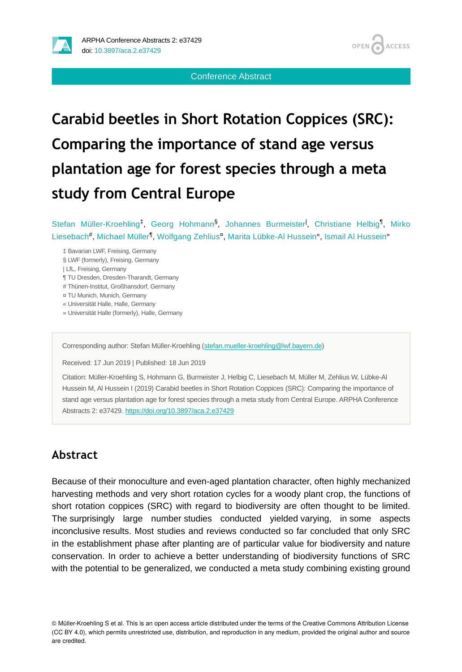

Conference Abstract

# **Carabid beetles in Short Rotation Coppices (SRC): Comparing the importance of stand age versus plantation age for forest species through a meta study from Central Europe**

Stefan Müller-Kroehling<sup>t</sup>, Georg Hohmann<sup>§</sup>, Johannes Burmeister<sup>1</sup>, Christiane Helbig<sup>1</sup>, Mirko Liesebach<sup>#</sup>, Michael Müller<sup>¶</sup>, Wolfgang Zehlius<sup>a</sup>, Marita Lübke-Al Hussein<sup>«</sup>, Ismail Al Hussein<sup>»</sup>

- ‡ Bavarian LWF, Freising, Germany
- § LWF (formerly), Freising, Germany
- | LfL, Freising, Germany
- ¶ TU Dresden, Dresden-Tharandt, Germany
- # Thünen-Institut, Großhansdorf, Germany
- ¤ TU Munich, Munich, Germany
- « Universität Halle, Halle, Germany
- » Universität Halle (formerly), Halle, Germany

Corresponding author: Stefan Müller-Kroehling ([stefan.mueller-kroehling@lwf.bayern.de\)](mailto:stefan.mueller-kroehling@lwf.bayern.de)

Received: 17 Jun 2019 | Published: 18 Jun 2019

Citation: Müller-Kroehling S, Hohmann G, Burmeister J, Helbig C, Liesebach M, Müller M, Zehlius W, Lübke-Al Hussein M, Al Hussein I (2019) Carabid beetles in Short Rotation Coppices (SRC): Comparing the importance of stand age versus plantation age for forest species through a meta study from Central Europe. ARPHA Conference Abstracts 2: e37429. <https://doi.org/10.3897/aca.2.e37429>

### **Abstract**

Because of their monoculture and even-aged plantation character, often highly mechanized harvesting methods and very short rotation cycles for a woody plant crop, the functions of short rotation coppices (SRC) with regard to biodiversity are often thought to be limited. The surprisingly large number studies conducted yielded varying, in some aspects inconclusive results. Most studies and reviews conducted so far concluded that only SRC in the establishment phase after planting are of particular value for biodiversity and nature conservation. In order to achieve a better understanding of biodiversity functions of SRC with the potential to be generalized, we conducted a meta study combining existing ground

<sup>©</sup> Müller-Kroehling S et al. This is an open access article distributed under the terms of the Creative Commons Attribution License (CC BY 4.0), which permits unrestricted use, distribution, and reproduction in any medium, provided the original author and source are credited.